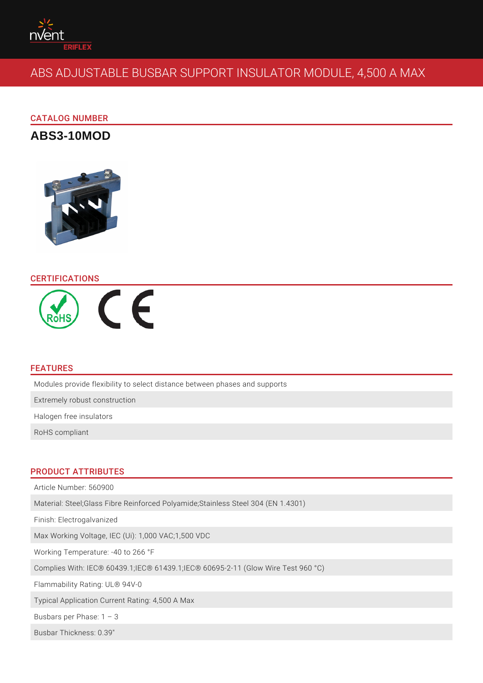# ABS ADJUSTABLE BUSBAR SUPPORT INSULATOR MO

# CATALOG NUMBER

ABS3-10MOD

# CERTIFICATIONS

#### FEATURES

Modules provide flexibility to select distance between phases and supports Extremely robust construction Halogen free insulators

RoHS compliant

#### PRODUCT ATTRIBUTES

Article Number: 560900 Material: Steel;Glass Fibre Reinforced Polyamide;Stainless Steel 304 (EN 1.4301) Finish: Electrogalvanized Max Working Voltage, IEC (Ui): 1,000 VAC;1,500 VDC Working Temperature: -40 to 266 °F Complies With: IEC® 60439.1;IEC® 61439.1;IEC® 60695-2-11 (Glow Wire Test 96 Flammability Rating: UL® 94V-0 Typical Application Current Rating: 4,500 A Max Busbars per Phase: 1 3 Busbar Thickness: 0.39"